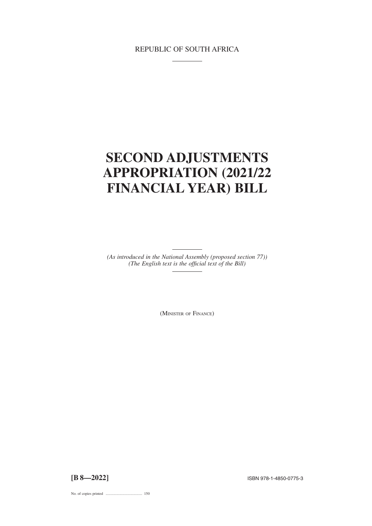# REPUBLIC OF SOUTH AFRICA

# **SECOND ADJUSTMENTS APPROPRIATION (2021/22 FINANCIAL YEAR) BILL**

*(As introduced in the National Assembly (proposed section 77)) (The English text is the official text of the Bill)*

(MINISTER OF FINANCE)

**[B 8—2022]** ISBN 978-1-4850-0775-3

No. of copies printed ....................................... 150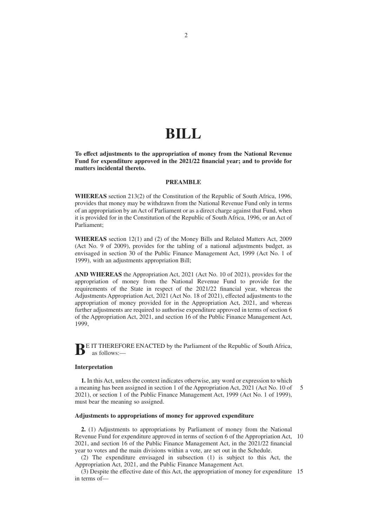# **BILL**

**To effect adjustments to the appropriation of money from the National Revenue Fund for expenditure approved in the 2021/22 financial year; and to provide for matters incidental thereto.**

### **PREAMBLE**

**WHEREAS** section 213(2) of the Constitution of the Republic of South Africa, 1996, provides that money may be withdrawn from the National Revenue Fund only in terms of an appropriation by an Act of Parliament or as a direct charge against that Fund, when it is provided for in the Constitution of the Republic of South Africa, 1996, or an Act of Parliament;

**WHEREAS** section 12(1) and (2) of the Money Bills and Related Matters Act, 2009 (Act No. 9 of 2009), provides for the tabling of a national adjustments budget, as envisaged in section 30 of the Public Finance Management Act, 1999 (Act No. 1 of 1999), with an adjustments appropriation Bill;

**AND WHEREAS** the Appropriation Act, 2021 (Act No. 10 of 2021), provides for the appropriation of money from the National Revenue Fund to provide for the requirements of the State in respect of the 2021/22 financial year, whereas the Adjustments Appropriation Act, 2021 (Act No. 18 of 2021), effected adjustments to the appropriation of money provided for in the Appropriation Act, 2021, and whereas further adjustments are required to authorise expenditure approved in terms of section 6 of the Appropriation Act, 2021, and section 16 of the Public Finance Management Act, 1999,

**BE IT THEREFORE ENACTED by the Parliament of the Republic of South Africa,** as follows:—

#### **Interpretation**

**1.** In this Act, unless the context indicates otherwise, any word or expression to which a meaning has been assigned in section 1 of the Appropriation Act, 2021 (Act No. 10 of 2021), or section 1 of the Public Finance Management Act, 1999 (Act No. 1 of 1999), must bear the meaning so assigned. 5

# **Adjustments to appropriations of money for approved expenditure**

**2.** (1) Adjustments to appropriations by Parliament of money from the National Revenue Fund for expenditure approved in terms of section 6 of the Appropriation Act, 10 2021, and section 16 of the Public Finance Management Act, in the 2021/22 financial year to votes and the main divisions within a vote, are set out in the Schedule.

(2) The expenditure envisaged in subsection (1) is subject to this Act, the Appropriation Act, 2021, and the Public Finance Management Act.

(3) Despite the effective date of this Act, the appropriation of money for expenditure 15in terms of—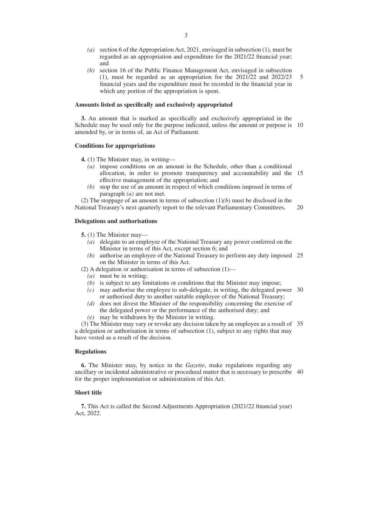- *(a)* section 6 of the Appropriation Act, 2021, envisaged in subsection (1), must be regarded as an appropriation and expenditure for the 2021/22 financial year; and
- *(b)* section 16 of the Public Finance Management Act, envisaged in subsection (1), must be regarded as an appropriation for the 2021/22 and 2022/23 financial years and the expenditure must be recorded in the financial year in which any portion of the appropriation is spent. 5

#### **Amounts listed as specifically and exclusively appropriated**

**3.** An amount that is marked as specifically and exclusively appropriated in the Schedule may be used only for the purpose indicated, unless the amount or purpose is 10 amended by, or in terms of, an Act of Parliament.

#### **Conditions for appropriations**

**4.** (1) The Minister may, in writing—

- *(a)* impose conditions on an amount in the Schedule, other than a conditional allocation, in order to promote transparency and accountability and the 15 effective management of the appropriation; and
- *(b)* stop the use of an amount in respect of which conditions imposed in terms of paragraph *(a)* are not met.

(2) The stoppage of an amount in terms of subsection (1)*(b)* must be disclosed in the National Treasury's next quarterly report to the relevant Parliamentary Committees. 20

# **Delegations and authorisations**

- **5.** (1) The Minister may—
	- *(a)* delegate to an employee of the National Treasury any power conferred on the Minister in terms of this Act, except section 6; and
	- *(b)* authorise an employee of the National Treasury to perform any duty imposed 25 on the Minister in terms of this Act.

(2) A delegation or authorisation in terms of subsection (1)—

- *(a)* must be in writing;
- *(b)* is subject to any limitations or conditions that the Minister may impose;
- *(c)* may authorise the employee to sub-delegate, in writing, the delegated power 30 or authorised duty to another suitable employee of the National Treasury;
- *(d)* does not divest the Minister of the responsibility concerning the exercise of the delegated power or the performance of the authorised duty; and
- *(e)* may be withdrawn by the Minister in writing.

(3) The Minister may vary or revoke any decision taken by an employee as a result of 35 a delegation or authorisation in terms of subsection (1), subject to any rights that may have vested as a result of the decision.

#### **Regulations**

**6.** The Minister may, by notice in the *Gazette*, make regulations regarding any ancillary or incidental administrative or procedural matter that is necessary to prescribe 40for the proper implementation or administration of this Act.

### **Short title**

**7.** This Act is called the Second Adjustments Appropriation (2021/22 financial year) Act, 2022.